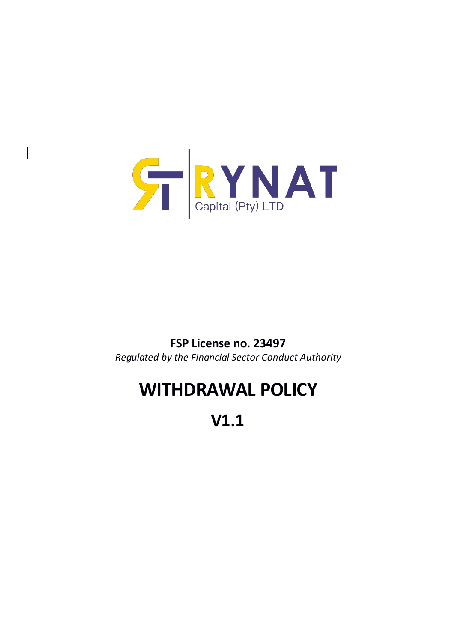

 $\overline{\phantom{a}}$ 

## **FSP License no. 23497**

*Regulated by the Financial Sector Conduct Authority*

## **WITHDRAWAL POLICY**

**V1.1**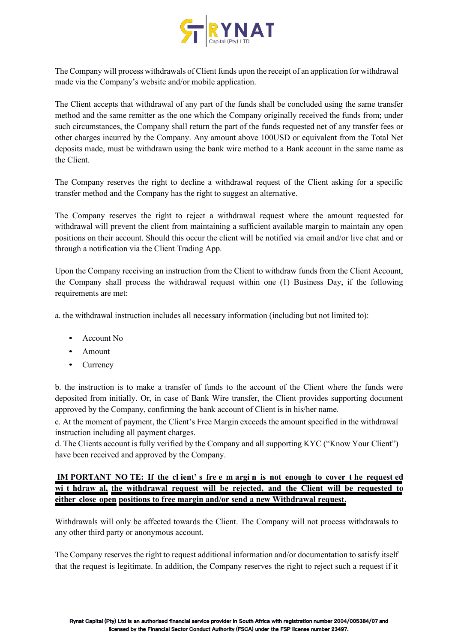

The Company will process withdrawals of Client funds upon the receipt of an application for withdrawal made via the Company's website and/or mobile application.

The Client accepts that withdrawal of any part of the funds shall be concluded using the same transfer method and the same remitter as the one which the Company originally received the funds from; under such circumstances, the Company shall return the part of the funds requested net of any transfer fees or other charges incurred by the Company. Any amount above 100USD or equivalent from the Total Net deposits made, must be withdrawn using the bank wire method to a Bank account in the same name as the Client.

The Company reserves the right to decline a withdrawal request of the Client asking for a specific transfer method and the Company has the right to suggest an alternative.

The Company reserves the right to reject a withdrawal request where the amount requested for withdrawal will prevent the client from maintaining a sufficient available margin to maintain any open positions on their account. Should this occur the client will be notified via email and/or live chat and or through a notification via the Client Trading App.

Upon the Company receiving an instruction from the Client to withdraw funds from the Client Account, the Company shall process the withdrawal request within one (1) Business Day, if the following requirements are met:

a. the withdrawal instruction includes all necessary information (including but not limited to):

- Account No
- Amount
- Currency

b. the instruction is to make a transfer of funds to the account of the Client where the funds were deposited from initially. Or, in case of Bank Wire transfer, the Client provides supporting document approved by the Company, confirming the bank account of Client is in his/her name.

c. At the moment of payment, the Client's Free Margin exceeds the amount specified in the withdrawal instruction including all payment charges.

d. The Clients account is fully verified by the Company and all supporting KYC ("Know Your Client") have been received and approved by the Company.

## IM PORTANT NO TE: If the client's free m argin is not enough to cover the request ed **wi t hdraw al, the withdrawal request will be rejected, and the Client will be requested to either close open positions to free margin and/or send a new Withdrawal request.**

Withdrawals will only be affected towards the Client. The Company will not process withdrawals to any other third party or anonymous account.

The Company reserves the right to request additional information and/or documentation to satisfy itself that the requestis legitimate. In addition, the Company reserves the right to reject such a requestif it